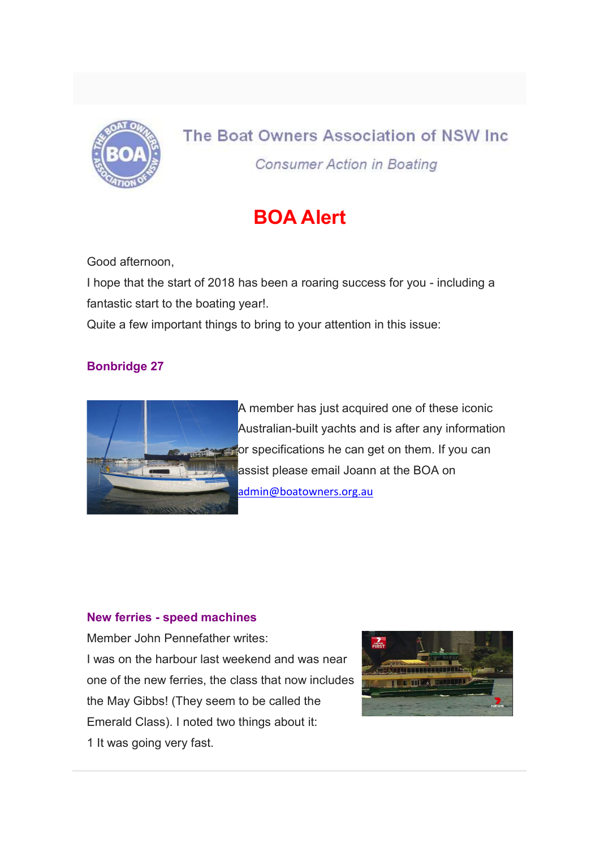

# The Boat Owners Association of NSW Inc.

**Consumer Action in Boating** 

## BOA Alert

Good afternoon,

I hope that the start of 2018 has been a roaring success for you - including a fantastic start to the boating year!.

Quite a few important things to bring to your attention in this issue:

### Bonbridge 27



A member has just acquired one of these iconic Australian-built yachts and is after any information **For specifications he can get on them. If you can** assist please email Joann at the BOA on admin@boatowners.org.au

#### New ferries - speed machines

Member John Pennefather writes: I was on the harbour last weekend and was near one of the new ferries, the class that now includes the May Gibbs! (They seem to be called the Emerald Class). I noted two things about it: 1 It was going very fast.

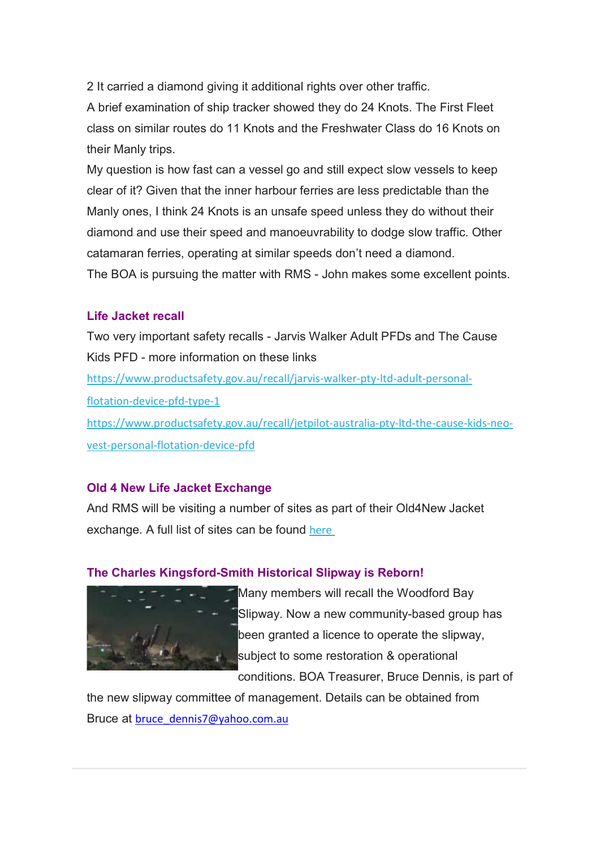2 It carried a diamond giving it additional rights over other traffic.

A brief examination of ship tracker showed they do 24 Knots. The First Fleet class on similar routes do 11 Knots and the Freshwater Class do 16 Knots on their Manly trips.

My question is how fast can a vessel go and still expect slow vessels to keep clear of it? Given that the inner harbour ferries are less predictable than the Manly ones, I think 24 Knots is an unsafe speed unless they do without their diamond and use their speed and manoeuvrability to dodge slow traffic. Other catamaran ferries, operating at similar speeds don't need a diamond. The BOA is pursuing the matter with RMS - John makes some excellent points.

#### Life Jacket recall

Two very important safety recalls - Jarvis Walker Adult PFDs and The Cause Kids PFD - more information on these links

https://www.productsafety.gov.au/recall/jarvis-walker-pty-ltd-adult-personalflotation-device-pfd-type-1

https://www.productsafety.gov.au/recall/jetpilot-australia-pty-ltd-the-cause-kids-neovest-personal-flotation-device-pfd

#### Old 4 New Life Jacket Exchange

And RMS will be visiting a number of sites as part of their Old4New Jacket exchange. A full list of sites can be found here

#### The Charles Kingsford-Smith Historical Slipway is Reborn!



Many members will recall the Woodford Bay Slipway. Now a new community-based group has been granted a licence to operate the slipway, subject to some restoration & operational conditions. BOA Treasurer, Bruce Dennis, is part of

the new slipway committee of management. Details can be obtained from Bruce at bruce\_dennis7@yahoo.com.au